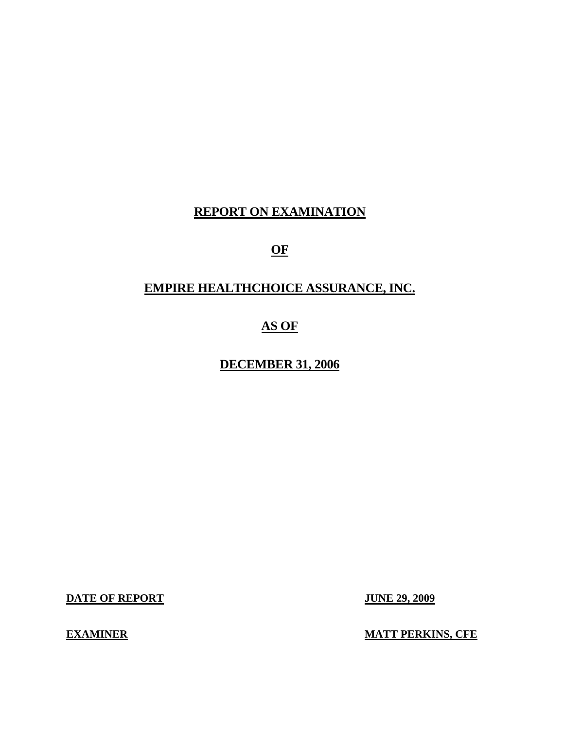# **REPORT ON EXAMINATION**

# **OF**

# **EMPIRE HEALTHCHOICE ASSURANCE, INC.**

# **AS OF**

# **DECEMBER 31, 2006**

**DATE OF REPORT JUNE 29, 2009** 

**EXAMINER** 

**MATT PERKINS, CFE**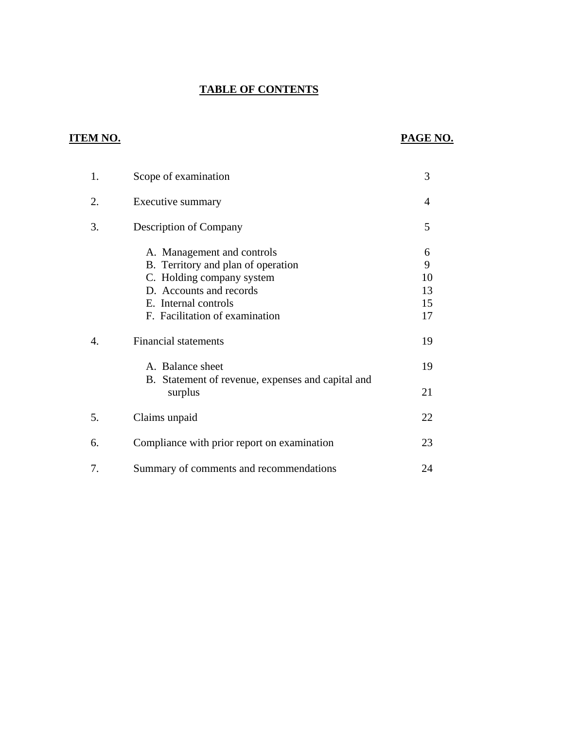## **TABLE OF CONTENTS**

## **ITEM NO. PAGE NO.**

| 1. | Scope of examination                                                                                                                                                               | 3                              |
|----|------------------------------------------------------------------------------------------------------------------------------------------------------------------------------------|--------------------------------|
| 2. | Executive summary                                                                                                                                                                  | 4                              |
| 3. | <b>Description of Company</b>                                                                                                                                                      | 5                              |
|    | A. Management and controls<br>B. Territory and plan of operation<br>C. Holding company system<br>D. Accounts and records<br>E. Internal controls<br>F. Facilitation of examination | 6<br>9<br>10<br>13<br>15<br>17 |
| 4. | <b>Financial statements</b>                                                                                                                                                        | 19                             |
|    | A. Balance sheet<br>B. Statement of revenue, expenses and capital and<br>surplus                                                                                                   | 19<br>21                       |
| 5. | Claims unpaid                                                                                                                                                                      | 22                             |
| 6. | Compliance with prior report on examination                                                                                                                                        | 23                             |
| 7. | Summary of comments and recommendations                                                                                                                                            | 24                             |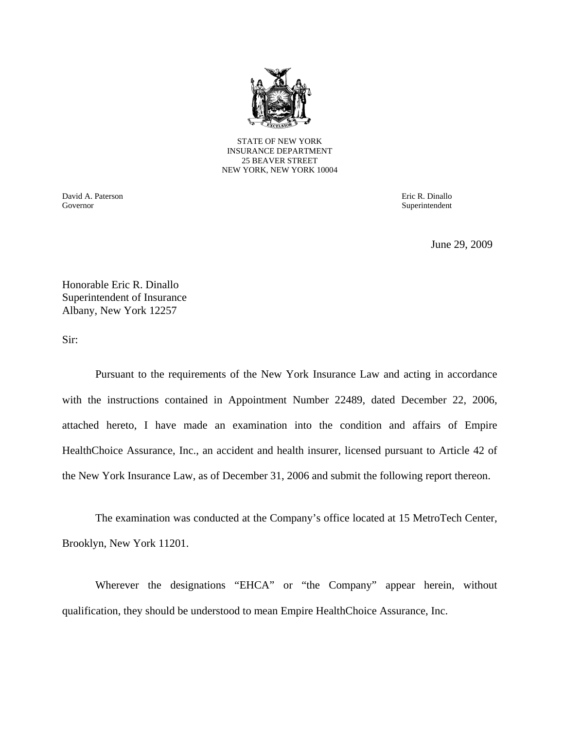

STATE OF NEW YORK INSURANCE DEPARTMENT 25 BEAVER STREET NEW YORK, NEW YORK 10004

David A. Paterson Eric R. Dinallo Governor Superintendent Superintendent Superintendent Superintendent Superintendent Superintendent Superintendent Superintendent Superintendent Superintendent Superintendent Superintendent Superintendent Superintendent Sup

June 29, 2009

Honorable Eric R. Dinallo Superintendent of Insurance Albany, New York 12257

Sir:

Pursuant to the requirements of the New York Insurance Law and acting in accordance with the instructions contained in Appointment Number 22489, dated December 22, 2006, attached hereto, I have made an examination into the condition and affairs of Empire HealthChoice Assurance, Inc., an accident and health insurer, licensed pursuant to Article 42 of the New York Insurance Law, as of December 31, 2006 and submit the following report thereon.

The examination was conducted at the Company's office located at 15 MetroTech Center, Brooklyn, New York 11201.

Wherever the designations "EHCA" or "the Company" appear herein, without qualification, they should be understood to mean Empire HealthChoice Assurance, Inc.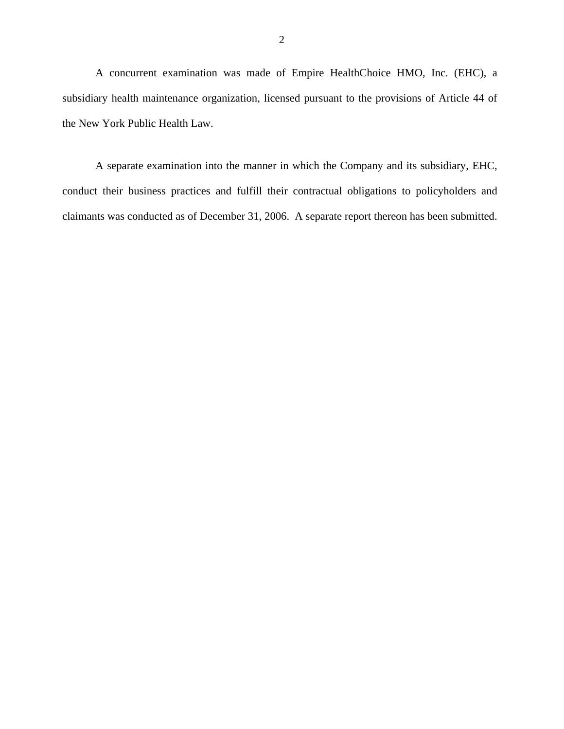A concurrent examination was made of Empire HealthChoice HMO, Inc. (EHC), a subsidiary health maintenance organization, licensed pursuant to the provisions of Article 44 of the New York Public Health Law.

A separate examination into the manner in which the Company and its subsidiary, EHC, conduct their business practices and fulfill their contractual obligations to policyholders and claimants was conducted as of December 31, 2006. A separate report thereon has been submitted.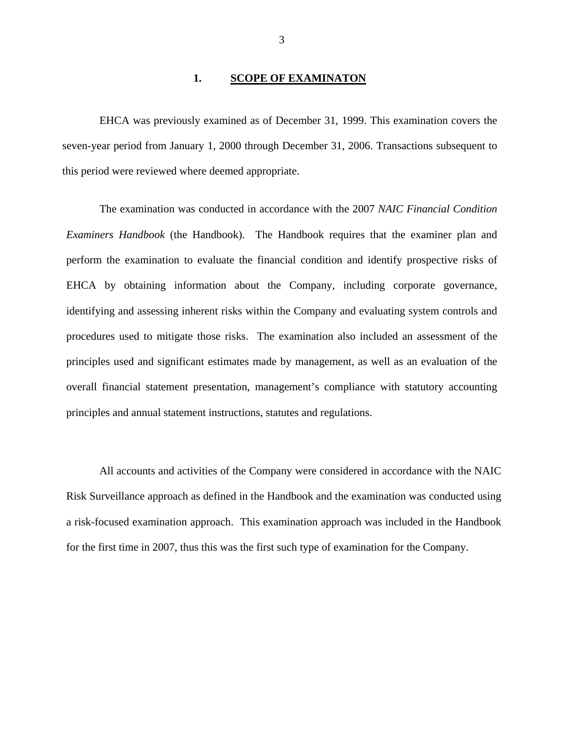#### 1. **SCOPE OF EXAMINATON**

EHCA was previously examined as of December 31, 1999. This examination covers the seven-year period from January 1, 2000 through December 31, 2006. Transactions subsequent to this period were reviewed where deemed appropriate.

The examination was conducted in accordance with the 2007 *NAIC Financial Condition Examiners Handbook* (the Handbook). The Handbook requires that the examiner plan and perform the examination to evaluate the financial condition and identify prospective risks of EHCA by obtaining information about the Company, including corporate governance, identifying and assessing inherent risks within the Company and evaluating system controls and procedures used to mitigate those risks. The examination also included an assessment of the principles used and significant estimates made by management, as well as an evaluation of the overall financial statement presentation, management's compliance with statutory accounting principles and annual statement instructions, statutes and regulations.

All accounts and activities of the Company were considered in accordance with the NAIC Risk Surveillance approach as defined in the Handbook and the examination was conducted using a risk-focused examination approach. This examination approach was included in the Handbook for the first time in 2007, thus this was the first such type of examination for the Company.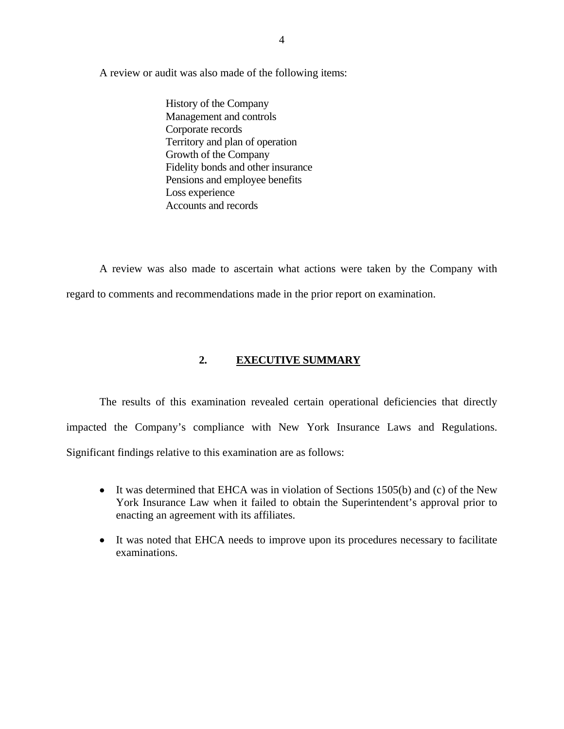<span id="page-5-0"></span>A review or audit was also made of the following items: History of the Company

Management and controls Corporate records Territory and plan of operation Growth of the Company Fidelity bonds and other insurance Pensions and employee benefits Loss experience Accounts and records

A review was also made to ascertain what actions were taken by the Company with regard to comments and recommendations made in the prior report on examination.

#### **2. EXECUTIVE SUMMARY**

 impacted the Company's compliance with New York Insurance Laws and Regulations. Significant findings relative to this examination are as follows: The results of this examination revealed certain operational deficiencies that directly

- It was determined that EHCA was in violation of Sections 1505(b) and (c) of the New York Insurance Law when it failed to obtain the Superintendent's approval prior to enacting an agreement with its affiliates.
- It was noted that EHCA needs to improve upon its procedures necessary to facilitate examinations.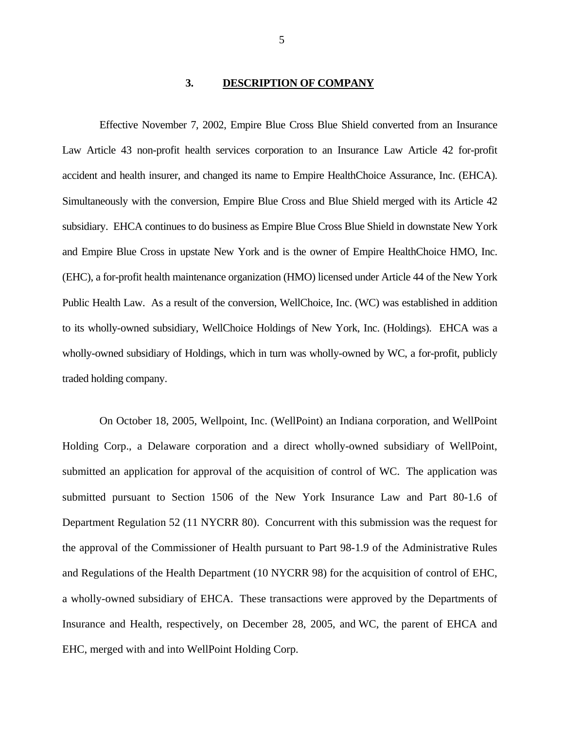#### **3. DESCRIPTION OF COMPANY**

<span id="page-6-0"></span> accident and health insurer, and changed its name to Empire HealthChoice Assurance, Inc. (EHCA). Simultaneously with the conversion, Empire Blue Cross and Blue Shield merged with its Article 42 Effective November 7, 2002, Empire Blue Cross Blue Shield converted from an Insurance Law Article 43 non-profit health services corporation to an Insurance Law Article 42 for-profit subsidiary. EHCA continues to do business as Empire Blue Cross Blue Shield in downstate New York and Empire Blue Cross in upstate New York and is the owner of Empire HealthChoice HMO, Inc. (EHC), a for-profit health maintenance organization (HMO) licensed under Article 44 of the New York Public Health Law. As a result of the conversion, WellChoice, Inc. (WC) was established in addition to its wholly-owned subsidiary, WellChoice Holdings of New York, Inc. (Holdings). EHCA was a wholly-owned subsidiary of Holdings, which in turn was wholly-owned by WC, a for-profit, publicly traded holding company.

On October 18, 2005, Wellpoint, Inc. (WellPoint) an Indiana corporation, and WellPoint Holding Corp., a Delaware corporation and a direct wholly-owned subsidiary of WellPoint, submitted an application for approval of the acquisition of control of WC. The application was submitted pursuant to Section 1506 of the New York Insurance Law and Part 80-1.6 of Department Regulation 52 (11 NYCRR 80). Concurrent with this submission was the request for the approval of the Commissioner of Health pursuant to Part 98-1.9 of the Administrative Rules and Regulations of the Health Department (10 NYCRR 98) for the acquisition of control of EHC, a wholly-owned subsidiary of EHCA. These transactions were approved by the Departments of Insurance and Health, respectively, on December 28, 2005, and WC, the parent of EHCA and EHC, merged with and into WellPoint Holding Corp.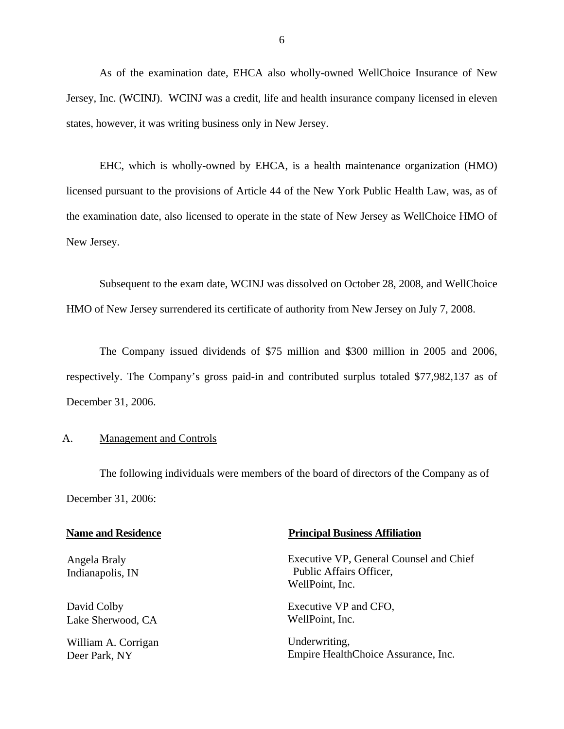<span id="page-7-0"></span>As of the examination date, EHCA also wholly-owned WellChoice Insurance of New Jersey, Inc. (WCINJ). WCINJ was a credit, life and health insurance company licensed in eleven states, however, it was writing business only in New Jersey.

EHC, which is wholly-owned by EHCA, is a health maintenance organization (HMO) licensed pursuant to the provisions of Article 44 of the New York Public Health Law, was, as of the examination date, also licensed to operate in the state of New Jersey as WellChoice HMO of New Jersey.

Subsequent to the exam date, WCINJ was dissolved on October 28, 2008, and WellChoice HMO of New Jersey surrendered its certificate of authority from New Jersey on July 7, 2008.

The Company issued dividends of \$75 million and \$300 million in 2005 and 2006, respectively. The Company's gross paid-in and contributed surplus totaled \$77,982,137 as of December 31, 2006.

#### A. Management and Controls

The following individuals were members of the board of directors of the Company as of December 31, 2006:

| <b>Name and Residence</b>        | <b>Principal Business Affiliation</b>                                                 |  |  |
|----------------------------------|---------------------------------------------------------------------------------------|--|--|
| Angela Braly<br>Indianapolis, IN | Executive VP, General Counsel and Chief<br>Public Affairs Officer,<br>WellPoint, Inc. |  |  |
| David Colby                      | Executive VP and CFO,                                                                 |  |  |
| Lake Sherwood, CA                | WellPoint, Inc.                                                                       |  |  |
| William A. Corrigan              | Underwriting,                                                                         |  |  |
| Deer Park, NY                    | Empire HealthChoice Assurance, Inc.                                                   |  |  |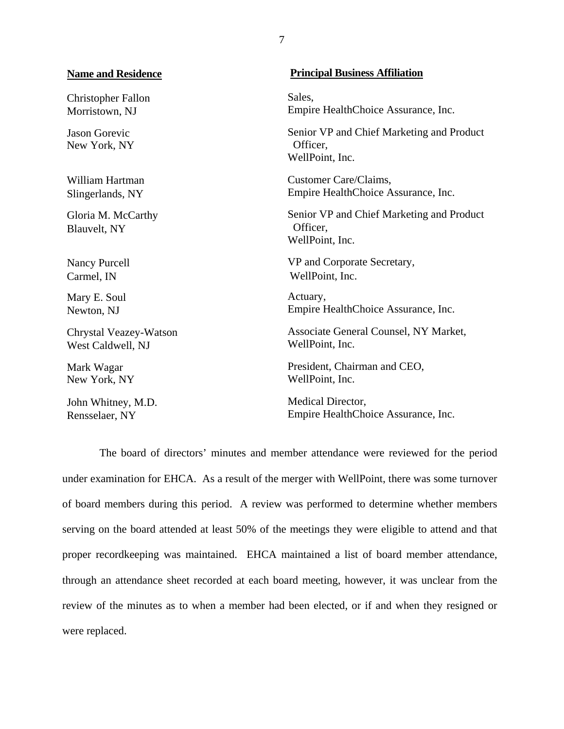#### **Name and Residence**

Christopher Fallon Morristown, NJ

Jason Gorevic New York, NY

William Hartman Slingerlands, NY

Gloria M. McCarthy Blauvelt, NY

Nancy Purcell Carmel, IN

Mary E. Soul Newton, NJ

Chrystal Veazey-Watson West Caldwell, NJ

Mark Wagar New York, NY

John Whitney, M.D. Rensselaer, NY

#### **Principal Business Affiliation**

Sales. Empire HealthChoice Assurance, Inc.

Senior VP and Chief Marketing and Product Officer, WellPoint, Inc.

Customer Care/Claims, Empire HealthChoice Assurance, Inc.

Senior VP and Chief Marketing and Product Officer, WellPoint, Inc.

VP and Corporate Secretary, WellPoint, Inc.

Actuary, Empire HealthChoice Assurance, Inc.

Associate General Counsel, NY Market, WellPoint, Inc.

President, Chairman and CEO, WellPoint, Inc.

Medical Director, Empire HealthChoice Assurance, Inc.

The board of directors' minutes and member attendance were reviewed for the period under examination for EHCA. As a result of the merger with WellPoint, there was some turnover of board members during this period. A review was performed to determine whether members serving on the board attended at least 50% of the meetings they were eligible to attend and that proper recordkeeping was maintained. EHCA maintained a list of board member attendance, through an attendance sheet recorded at each board meeting, however, it was unclear from the review of the minutes as to when a member had been elected, or if and when they resigned or were replaced.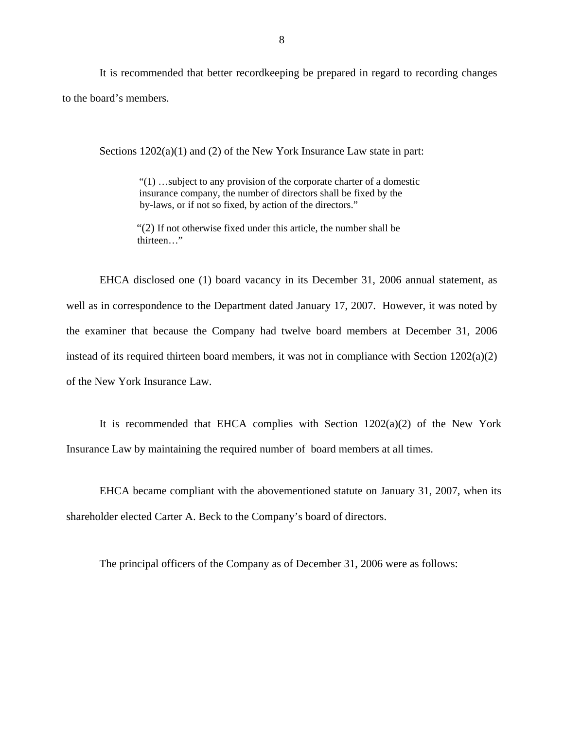It is recommended that better recordkeeping be prepared in regard to recording changes to the board's members.

Sections  $1202(a)(1)$  and (2) of the New York Insurance Law state in part:

 "(1) …subject to any provision of the corporate charter of a domestic insurance company, the number of directors shall be fixed by the by-laws, or if not so fixed, by action of the directors."

"(2) If not otherwise fixed under this article, the number shall be thirteen…"

EHCA disclosed one (1) board vacancy in its December 31, 2006 annual statement, as well as in correspondence to the Department dated January 17, 2007. However, it was noted by the examiner that because the Company had twelve board members at December 31, 2006 instead of its required thirteen board members, it was not in compliance with Section 1202(a)(2) of the New York Insurance Law.

It is recommended that EHCA complies with Section  $1202(a)(2)$  of the New York Insurance Law by maintaining the required number of board members at all times.

EHCA became compliant with the abovementioned statute on January 31, 2007, when its shareholder elected Carter A. Beck to the Company's board of directors.

The principal officers of the Company as of December 31, 2006 were as follows: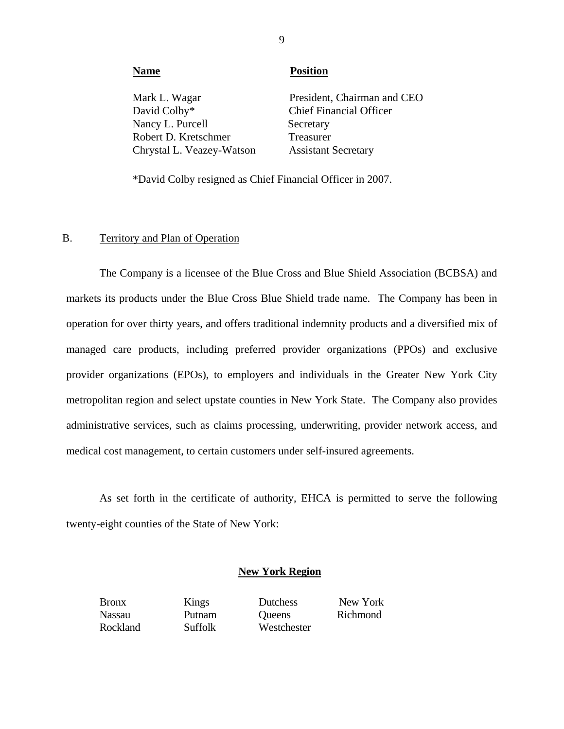| <b>Name</b>               | <b>Position</b>                |
|---------------------------|--------------------------------|
| Mark L. Wagar             | President, Chairman and CEO    |
| David Colby*              | <b>Chief Financial Officer</b> |
| Nancy L. Purcell          | Secretary                      |
| Robert D. Kretschmer      | Treasurer                      |
| Chrystal L. Veazey-Watson | <b>Assistant Secretary</b>     |
|                           |                                |

\*David Colby resigned as Chief Financial Officer in 2007.

#### B. Territory and Plan of Operation

The Company is a licensee of the Blue Cross and Blue Shield Association (BCBSA) and markets its products under the Blue Cross Blue Shield trade name. The Company has been in operation for over thirty years, and offers traditional indemnity products and a diversified mix of managed care products, including preferred provider organizations (PPOs) and exclusive provider organizations (EPOs), to employers and individuals in the Greater New York City metropolitan region and select upstate counties in New York State. The Company also provides administrative services, such as claims processing, underwriting, provider network access, and medical cost management, to certain customers under self-insured agreements.

As set forth in the certificate of authority, EHCA is permitted to serve the following twenty-eight counties of the State of New York:

#### **New York Region**

Putnam

Bronx Kings Dutchess New York Nassau Putnam Queens Richmond Rockland Suffolk Westchester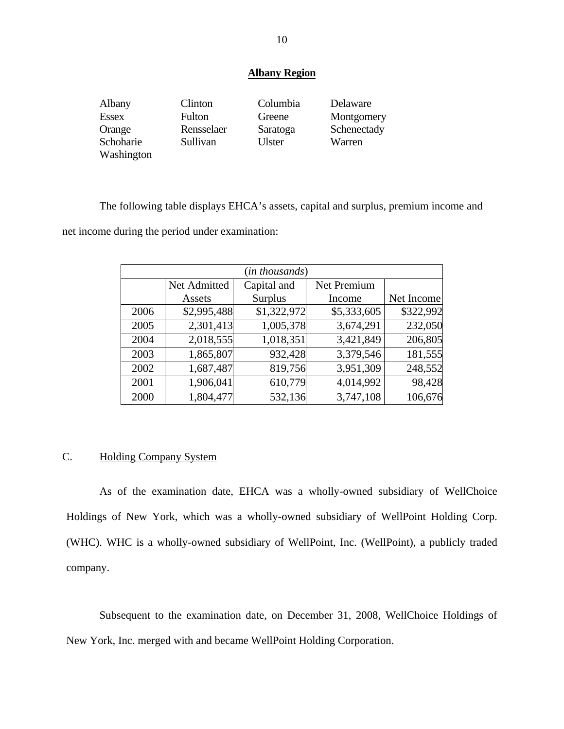#### **Albany Region**

| Albany       | Clinton       | Columbia      | Delaware    |
|--------------|---------------|---------------|-------------|
| <b>Essex</b> | <b>Fulton</b> | Greene        | Montgomery  |
| Orange       | Rensselaer    | Saratoga      | Schenectady |
| Schoharie    | Sullivan      | <b>Ulster</b> | Warren      |
| Washington   |               |               |             |

The following table displays EHCA's assets, capital and surplus, premium income and

net income during the period under examination:

| (in thousands) |              |                |             |            |
|----------------|--------------|----------------|-------------|------------|
|                | Net Admitted | Capital and    | Net Premium |            |
|                | Assets       | <b>Surplus</b> | Income      | Net Income |
| 2006           | \$2,995,488  | \$1,322,972    | \$5,333,605 | \$322,992  |
| 2005           | 2,301,413    | 1,005,378      | 3,674,291   | 232,050    |
| 2004           | 2,018,555    | 1,018,351      | 3,421,849   | 206,805    |
| 2003           | 1,865,807    | 932,428        | 3,379,546   | 181,555    |
| 2002           | 1,687,487    | 819,756        | 3,951,309   | 248,552    |
| 2001           | 1,906,041    | 610,779        | 4,014,992   | 98,428     |
| 2000           | 1,804,477    | 532,136        | 3,747,108   | 106,676    |

#### C. Holding Company System

As of the examination date, EHCA was a wholly-owned subsidiary of WellChoice Holdings of New York, which was a wholly-owned subsidiary of WellPoint Holding Corp. (WHC). WHC is a wholly-owned subsidiary of WellPoint, Inc. (WellPoint), a publicly traded company.

Subsequent to the examination date, on December 31, 2008, WellChoice Holdings of New York, Inc. merged with and became WellPoint Holding Corporation.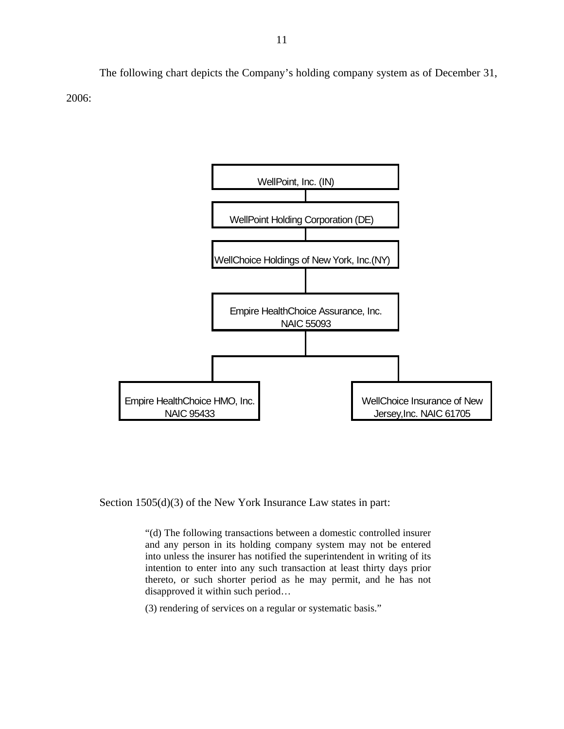The following chart depicts the Company's holding company system as of December 31, 2006:



Section 1505(d)(3) of the New York Insurance Law states in part:

"(d) The following transactions between a domestic controlled insurer and any person in its holding company system may not be entered into unless the insurer has notified the superintendent in writing of its intention to enter into any such transaction at least thirty days prior thereto, or such shorter period as he may permit, and he has not disapproved it within such period…

(3) rendering of services on a regular or systematic basis."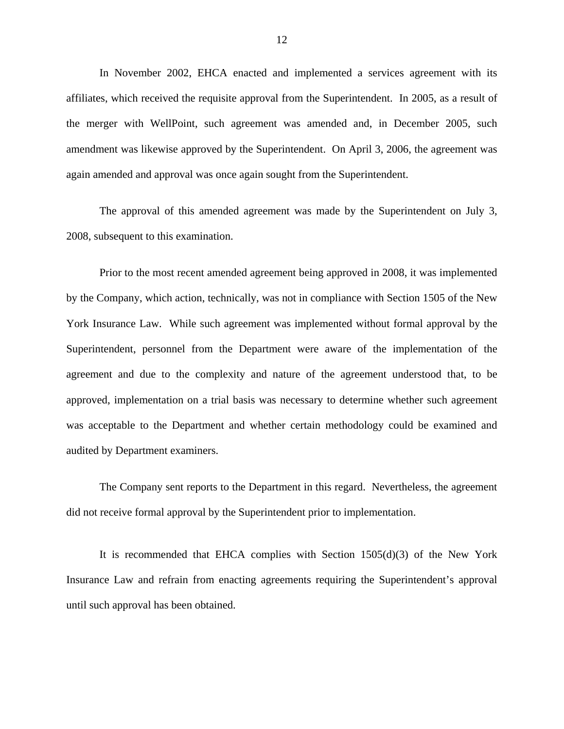In November 2002, EHCA enacted and implemented a services agreement with its affiliates, which received the requisite approval from the Superintendent. In 2005, as a result of the merger with WellPoint, such agreement was amended and, in December 2005, such amendment was likewise approved by the Superintendent. On April 3, 2006, the agreement was again amended and approval was once again sought from the Superintendent.

The approval of this amended agreement was made by the Superintendent on July 3, 2008, subsequent to this examination.

Prior to the most recent amended agreement being approved in 2008, it was implemented by the Company, which action, technically, was not in compliance with Section 1505 of the New York Insurance Law. While such agreement was implemented without formal approval by the Superintendent, personnel from the Department were aware of the implementation of the agreement and due to the complexity and nature of the agreement understood that, to be approved, implementation on a trial basis was necessary to determine whether such agreement was acceptable to the Department and whether certain methodology could be examined and audited by Department examiners.

The Company sent reports to the Department in this regard. Nevertheless, the agreement did not receive formal approval by the Superintendent prior to implementation.

It is recommended that EHCA complies with Section 1505(d)(3) of the New York Insurance Law and refrain from enacting agreements requiring the Superintendent's approval until such approval has been obtained.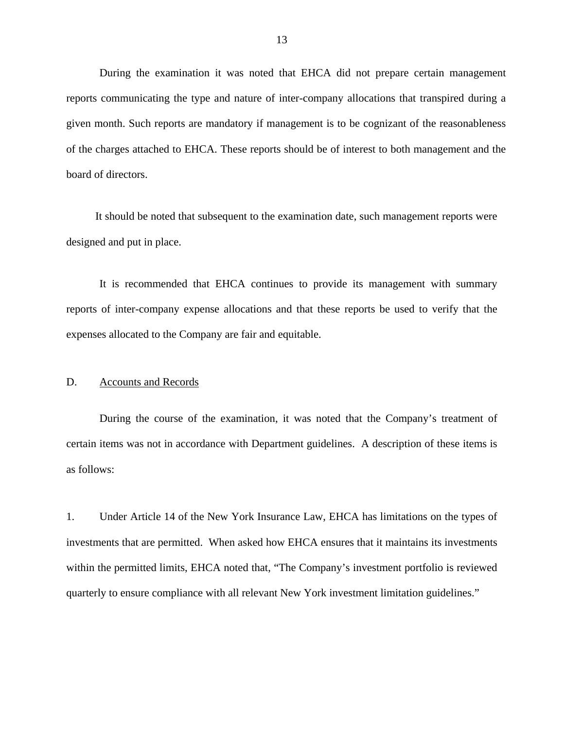<span id="page-14-0"></span>During the examination it was noted that EHCA did not prepare certain management reports communicating the type and nature of inter-company allocations that transpired during a given month. Such reports are mandatory if management is to be cognizant of the reasonableness of the charges attached to EHCA. These reports should be of interest to both management and the board of directors.

It should be noted that subsequent to the examination date, such management reports were designed and put in place.

It is recommended that EHCA continues to provide its management with summary reports of inter-company expense allocations and that these reports be used to verify that the expenses allocated to the Company are fair and equitable.

#### D. Accounts and Records

During the course of the examination, it was noted that the Company's treatment of certain items was not in accordance with Department guidelines. A description of these items is as follows:

1. Under Article 14 of the New York Insurance Law, EHCA has limitations on the types of investments that are permitted. When asked how EHCA ensures that it maintains its investments within the permitted limits, EHCA noted that, "The Company's investment portfolio is reviewed quarterly to ensure compliance with all relevant New York investment limitation guidelines."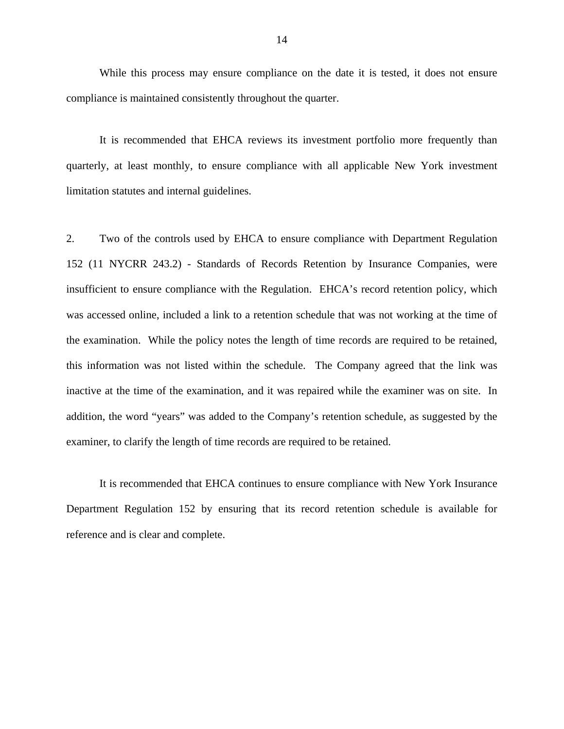While this process may ensure compliance on the date it is tested, it does not ensure compliance is maintained consistently throughout the quarter.

It is recommended that EHCA reviews its investment portfolio more frequently than quarterly, at least monthly, to ensure compliance with all applicable New York investment limitation statutes and internal guidelines.

2. Two of the controls used by EHCA to ensure compliance with Department Regulation 152 (11 NYCRR 243.2) - Standards of Records Retention by Insurance Companies, were insufficient to ensure compliance with the Regulation. EHCA's record retention policy, which was accessed online, included a link to a retention schedule that was not working at the time of the examination. While the policy notes the length of time records are required to be retained, this information was not listed within the schedule. The Company agreed that the link was inactive at the time of the examination, and it was repaired while the examiner was on site. In addition, the word "years" was added to the Company's retention schedule, as suggested by the examiner, to clarify the length of time records are required to be retained.

It is recommended that EHCA continues to ensure compliance with New York Insurance Department Regulation 152 by ensuring that its record retention schedule is available for reference and is clear and complete.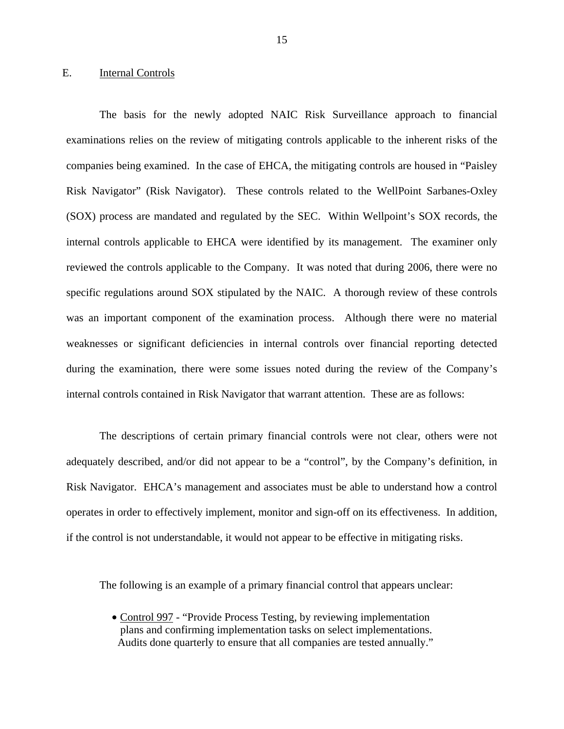#### <span id="page-16-0"></span>E. Internal Controls

The basis for the newly adopted NAIC Risk Surveillance approach to financial examinations relies on the review of mitigating controls applicable to the inherent risks of the companies being examined. In the case of EHCA, the mitigating controls are housed in "Paisley Risk Navigator" (Risk Navigator). These controls related to the WellPoint Sarbanes-Oxley (SOX) process are mandated and regulated by the SEC. Within Wellpoint's SOX records, the internal controls applicable to EHCA were identified by its management. The examiner only reviewed the controls applicable to the Company. It was noted that during 2006, there were no specific regulations around SOX stipulated by the NAIC. A thorough review of these controls was an important component of the examination process. Although there were no material weaknesses or significant deficiencies in internal controls over financial reporting detected during the examination, there were some issues noted during the review of the Company's internal controls contained in Risk Navigator that warrant attention. These are as follows:

The descriptions of certain primary financial controls were not clear, others were not adequately described, and/or did not appear to be a "control", by the Company's definition, in Risk Navigator. EHCA's management and associates must be able to understand how a control operates in order to effectively implement, monitor and sign-off on its effectiveness. In addition, if the control is not understandable, it would not appear to be effective in mitigating risks.

The following is an example of a primary financial control that appears unclear:

• Control 997 - "Provide Process Testing, by reviewing implementation plans and confirming implementation tasks on select implementations. Audits done quarterly to ensure that all companies are tested annually."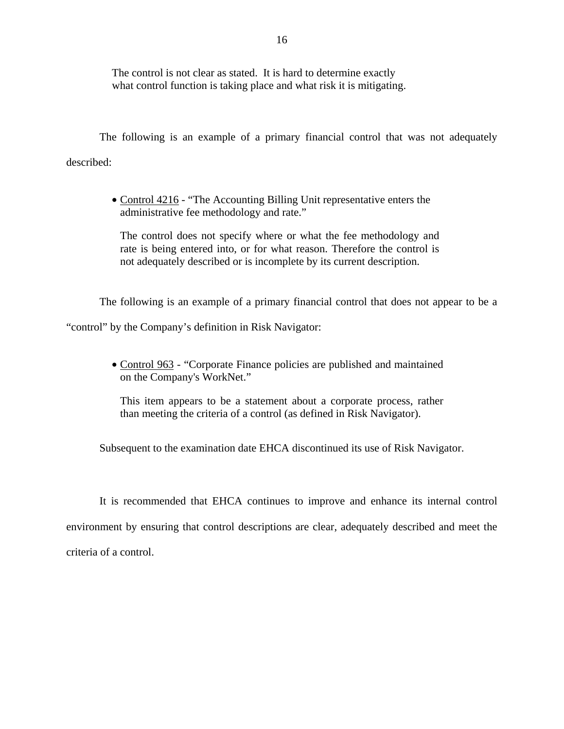The control is not clear as stated. It is hard to determine exactly what control function is taking place and what risk it is mitigating.

The following is an example of a primary financial control that was not adequately described:

> • Control 4216 - "The Accounting Billing Unit representative enters the administrative fee methodology and rate."

The control does not specify where or what the fee methodology and rate is being entered into, or for what reason. Therefore the control is not adequately described or is incomplete by its current description.

The following is an example of a primary financial control that does not appear to be a

"control" by the Company's definition in Risk Navigator:

• Control 963 - "Corporate Finance policies are published and maintained on the Company's WorkNet."

This item appears to be a statement about a corporate process, rather than meeting the criteria of a control (as defined in Risk Navigator).

Subsequent to the examination date EHCA discontinued its use of Risk Navigator.

It is recommended that EHCA continues to improve and enhance its internal control environment by ensuring that control descriptions are clear, adequately described and meet the criteria of a control.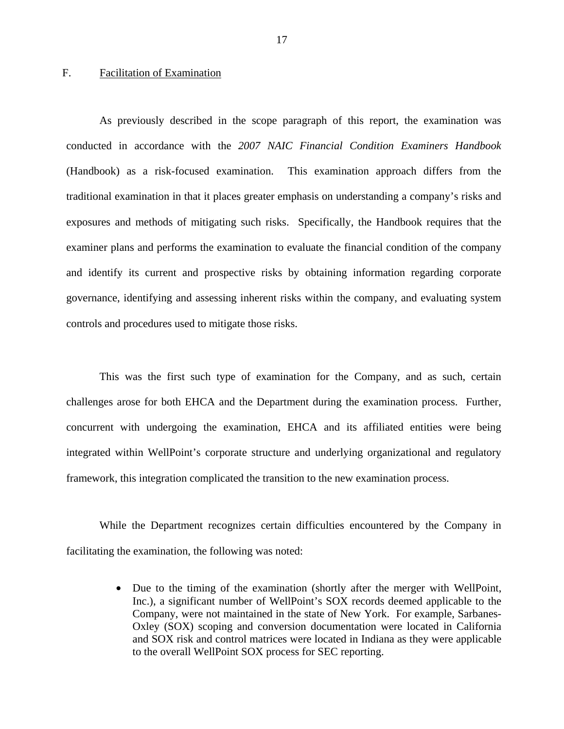#### <span id="page-18-0"></span>F. Facilitation of Examination

As previously described in the scope paragraph of this report, the examination was conducted in accordance with the *2007 NAIC Financial Condition Examiners Handbook*  (Handbook) as a risk-focused examination. This examination approach differs from the traditional examination in that it places greater emphasis on understanding a company's risks and exposures and methods of mitigating such risks. Specifically, the Handbook requires that the examiner plans and performs the examination to evaluate the financial condition of the company and identify its current and prospective risks by obtaining information regarding corporate governance, identifying and assessing inherent risks within the company, and evaluating system controls and procedures used to mitigate those risks.

This was the first such type of examination for the Company, and as such, certain challenges arose for both EHCA and the Department during the examination process. Further, concurrent with undergoing the examination, EHCA and its affiliated entities were being integrated within WellPoint's corporate structure and underlying organizational and regulatory framework, this integration complicated the transition to the new examination process.

While the Department recognizes certain difficulties encountered by the Company in facilitating the examination, the following was noted:

> • Due to the timing of the examination (shortly after the merger with WellPoint, Inc.), a significant number of WellPoint's SOX records deemed applicable to the Company, were not maintained in the state of New York. For example, Sarbanes-Oxley (SOX) scoping and conversion documentation were located in California and SOX risk and control matrices were located in Indiana as they were applicable to the overall WellPoint SOX process for SEC reporting.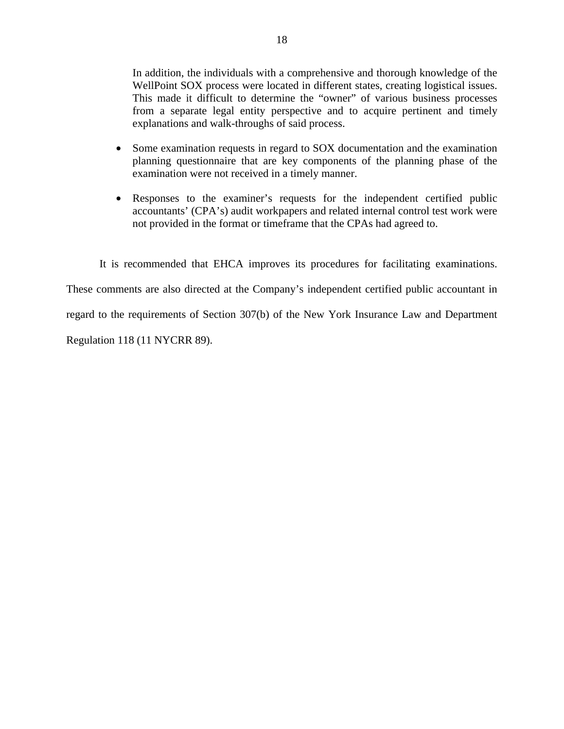WellPoint SOX process were located in different states, creating logistical issues. In addition, the individuals with a comprehensive and thorough knowledge of the This made it difficult to determine the "owner" of various business processes. from a separate legal entity perspective and to acquire pertinent and timely explanations and walk-throughs of said process.

- Some examination requests in regard to SOX documentation and the examination planning questionnaire that are key components of the planning phase of the examination were not received in a timely manner.
- Responses to the examiner's requests for the independent certified public accountants' (CPA's) audit workpapers and related internal control test work were not provided in the format or timeframe that the CPAs had agreed to.

It is recommended that EHCA improves its procedures for facilitating examinations.

These comments are also directed at the Company's independent certified public accountant in

regard to the requirements of Section 307(b) of the New York Insurance Law and Department

Regulation 118 (11 NYCRR 89).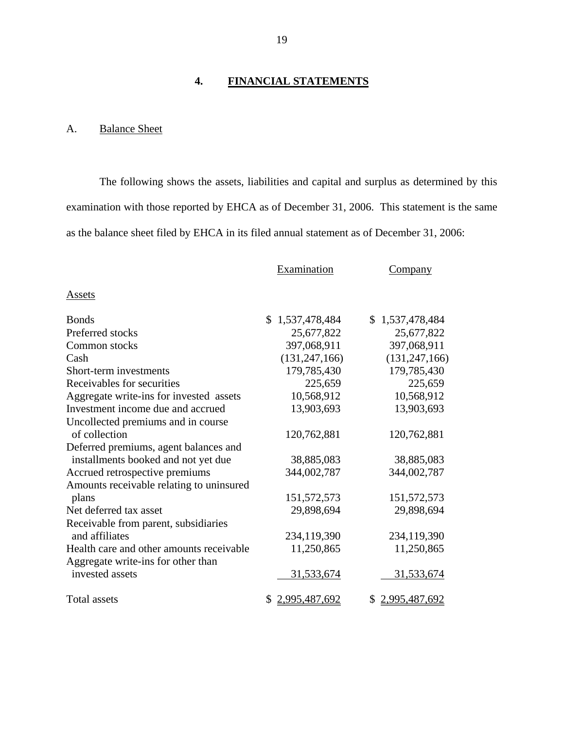#### **4. FINANCIAL STATEMENTS**

## A. Balance Sheet

The following shows the assets, liabilities and capital and surplus as determined by this examination with those reported by EHCA as of December 31, 2006. This statement is the same as the balance sheet filed by EHCA in its filed annual statement as of December 31, 2006:

|                                          | Examination     | Company         |
|------------------------------------------|-----------------|-----------------|
| Assets                                   |                 |                 |
| <b>B</b> onds                            | \$1,537,478,484 | \$1,537,478,484 |
| Preferred stocks                         | 25,677,822      | 25,677,822      |
| Common stocks                            | 397,068,911     | 397,068,911     |
| Cash                                     | (131, 247, 166) | (131, 247, 166) |
| Short-term investments                   | 179,785,430     | 179,785,430     |
| Receivables for securities               | 225,659         | 225,659         |
| Aggregate write-ins for invested assets  | 10,568,912      | 10,568,912      |
| Investment income due and accrued        | 13,903,693      | 13,903,693      |
| Uncollected premiums and in course       |                 |                 |
| of collection                            | 120,762,881     | 120,762,881     |
| Deferred premiums, agent balances and    |                 |                 |
| installments booked and not yet due      | 38,885,083      | 38,885,083      |
| Accrued retrospective premiums           | 344,002,787     | 344,002,787     |
| Amounts receivable relating to uninsured |                 |                 |
| plans                                    | 151,572,573     | 151,572,573     |
| Net deferred tax asset                   | 29,898,694      | 29,898,694      |
| Receivable from parent, subsidiaries     |                 |                 |
| and affiliates                           | 234,119,390     | 234,119,390     |
| Health care and other amounts receivable | 11,250,865      | 11,250,865      |
| Aggregate write-ins for other than       |                 |                 |
| invested assets                          | 31,533,674      | 31,533,674      |
| <b>Total assets</b>                      | \$2,995,487,692 | \$2,995,487,692 |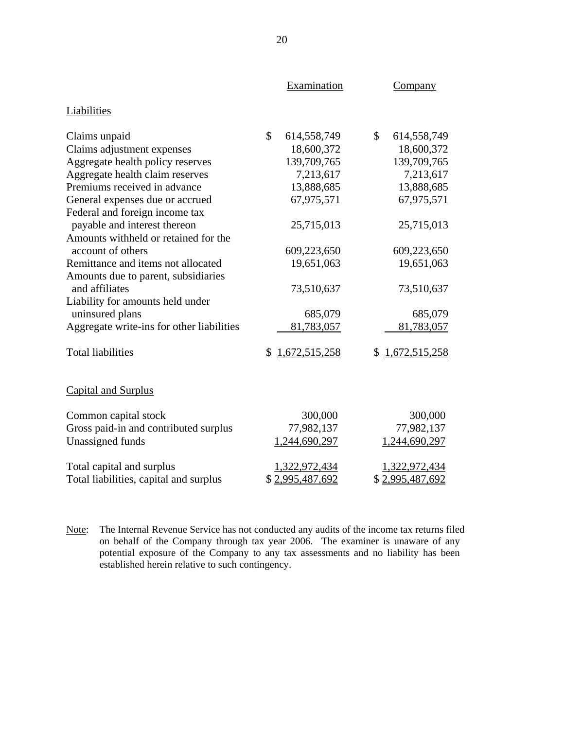|                                           | Examination       | Company             |
|-------------------------------------------|-------------------|---------------------|
| Liabilities                               |                   |                     |
| Claims unpaid                             | \$<br>614,558,749 | \$<br>614,558,749   |
| Claims adjustment expenses                | 18,600,372        | 18,600,372          |
| Aggregate health policy reserves          | 139,709,765       | 139,709,765         |
| Aggregate health claim reserves           | 7,213,617         | 7,213,617           |
| Premiums received in advance              | 13,888,685        | 13,888,685          |
| General expenses due or accrued           | 67,975,571        | 67,975,571          |
| Federal and foreign income tax            |                   |                     |
| payable and interest thereon              | 25,715,013        | 25,715,013          |
| Amounts withheld or retained for the      |                   |                     |
| account of others                         | 609,223,650       | 609,223,650         |
| Remittance and items not allocated        | 19,651,063        | 19,651,063          |
| Amounts due to parent, subsidiaries       |                   |                     |
| and affiliates                            | 73,510,637        | 73,510,637          |
| Liability for amounts held under          |                   |                     |
| uninsured plans                           | 685,079           | 685,079             |
| Aggregate write-ins for other liabilities | 81,783,057        | 81,783,057          |
| <b>Total liabilities</b>                  | \$1,672,515,258   | 1,672,515,258<br>\$ |
| <b>Capital and Surplus</b>                |                   |                     |
| Common capital stock                      | 300,000           | 300,000             |
| Gross paid-in and contributed surplus     | 77,982,137        | 77,982,137          |
| Unassigned funds                          | 1,244,690,297     | 1,244,690,297       |
| Total capital and surplus                 | 1,322,972,434     | 1,322,972,434       |
| Total liabilities, capital and surplus    | \$2,995,487,692   | \$2,995,487,692     |

Note: The Internal Revenue Service has not conducted any audits of the income tax returns filed on behalf of the Company through tax year 2006. The examiner is unaware of any potential exposure of the Company to any tax assessments and no liability has been established herein relative to such contingency.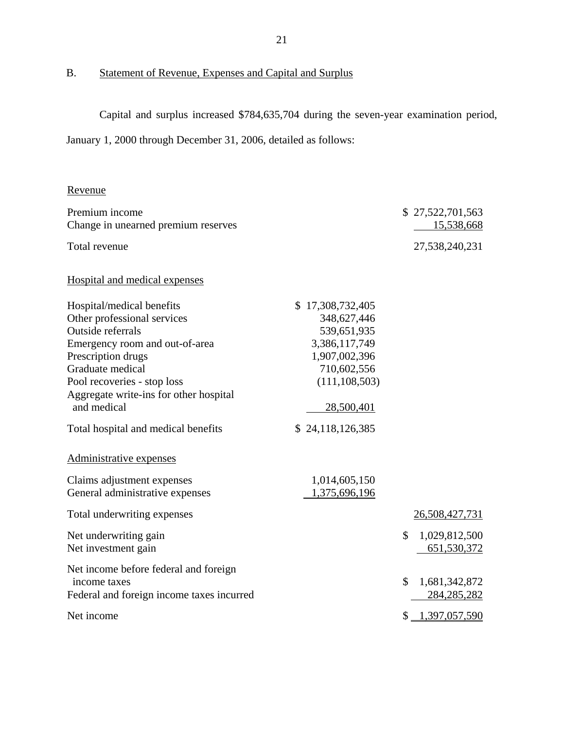# B. Statement of Revenue, Expenses and Capital and Surplus

Capital and surplus increased \$784,635,704 during the seven-year examination period,

January 1, 2000 through December 31, 2006, detailed as follows:

## Revenue

| Premium income                            |                  | \$27,522,701,563    |
|-------------------------------------------|------------------|---------------------|
| Change in unearned premium reserves       |                  | 15,538,668          |
| Total revenue                             |                  | 27,538,240,231      |
| Hospital and medical expenses             |                  |                     |
| Hospital/medical benefits                 | \$17,308,732,405 |                     |
| Other professional services               | 348,627,446      |                     |
| Outside referrals                         | 539,651,935      |                     |
| Emergency room and out-of-area            | 3,386,117,749    |                     |
| Prescription drugs                        | 1,907,002,396    |                     |
| Graduate medical                          | 710,602,556      |                     |
| Pool recoveries - stop loss               | (111, 108, 503)  |                     |
| Aggregate write-ins for other hospital    |                  |                     |
| and medical                               | 28,500,401       |                     |
| Total hospital and medical benefits       | \$24,118,126,385 |                     |
| Administrative expenses                   |                  |                     |
| Claims adjustment expenses                | 1,014,605,150    |                     |
| General administrative expenses           | 1,375,696,196    |                     |
| Total underwriting expenses               |                  | 26,508,427,731      |
| Net underwriting gain                     |                  | \$<br>1,029,812,500 |
| Net investment gain                       |                  | 651,530,372         |
|                                           |                  |                     |
| Net income before federal and foreign     |                  |                     |
| income taxes                              |                  | \$<br>1,681,342,872 |
| Federal and foreign income taxes incurred |                  | 284, 285, 282       |
| Net income                                |                  | $$ -1,397,057,590$  |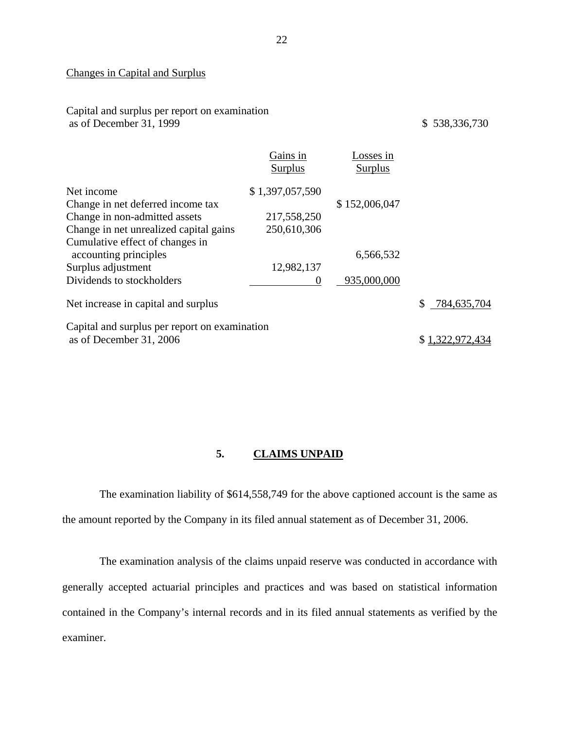#### Changes in Capital and Surplus

Capital and surplus per report on examination as of December 31, 1999 \$ 538,336,730

|                                                          | Gains in<br><b>Surplus</b> | osses in<br>Surplus |                 |
|----------------------------------------------------------|----------------------------|---------------------|-----------------|
| Net income                                               | \$1,397,057,590            |                     |                 |
| Change in net deferred income tax                        |                            | \$152,006,047       |                 |
| Change in non-admitted assets                            | 217,558,250                |                     |                 |
| Change in net unrealized capital gains                   | 250,610,306                |                     |                 |
| Cumulative effect of changes in<br>accounting principles |                            | 6,566,532           |                 |
| Surplus adjustment                                       | 12,982,137                 |                     |                 |
| Dividends to stockholders                                | $\theta$                   | 935,000,000         |                 |
| Net increase in capital and surplus                      |                            |                     | 784,635,704     |
| Capital and surplus per report on examination            |                            |                     |                 |
| as of December 31, 2006                                  |                            |                     | \$1,322,972,434 |

#### **5. CLAIMS UNPAID**

The examination liability of \$614,558,749 for the above captioned account is the same as the amount reported by the Company in its filed annual statement as of December 31, 2006.

The examination analysis of the claims unpaid reserve was conducted in accordance with generally accepted actuarial principles and practices and was based on statistical information contained in the Company's internal records and in its filed annual statements as verified by the examiner.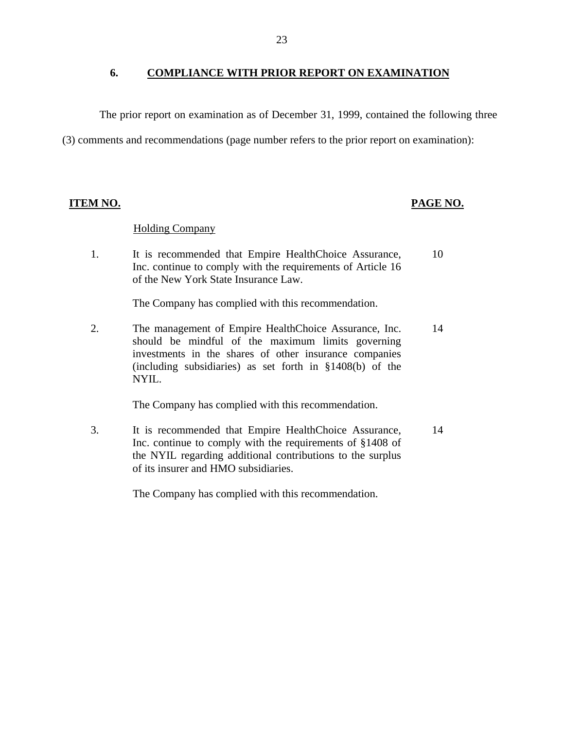#### <span id="page-24-0"></span>**6. COMPLIANCE WITH PRIOR REPORT ON EXAMINATION**

The prior report on examination as of December 31, 1999, contained the following three

(3) comments and recommendations (page number refers to the prior report on examination):

#### **ITEM NO. PAGE NO.**

#### **Holding Company**

1. It is recommended that Empire HealthChoice Assurance, 10 Inc. continue to comply with the requirements of Article 16 of the New York State Insurance Law.

The Company has complied with this recommendation.

2. The management of Empire HealthChoice Assurance, Inc. 14 should be mindful of the maximum limits governing investments in the shares of other insurance companies (including subsidiaries) as set forth in §1408(b) of the NYIL.

The Company has complied with this recommendation.

3. It is recommended that Empire HealthChoice Assurance, 14 Inc. continue to comply with the requirements of §1408 of the NYIL regarding additional contributions to the surplus of its insurer and HMO subsidiaries.

The Company has complied with this recommendation.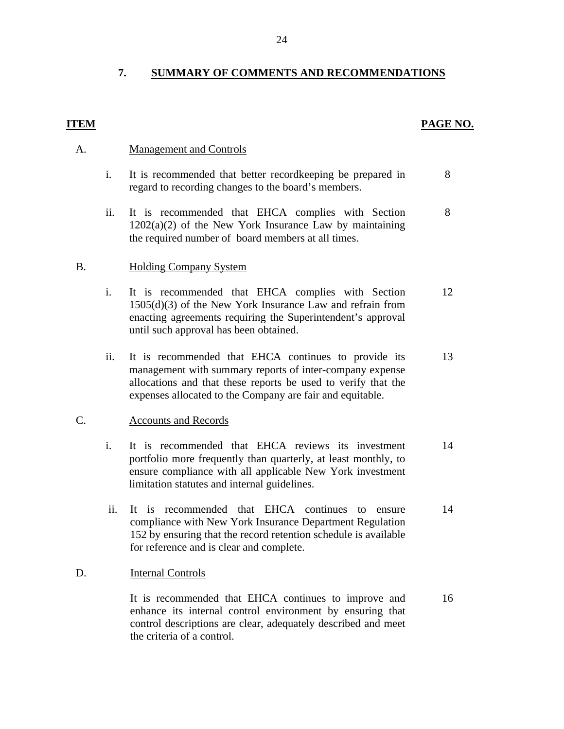# 7. SUMMARY OF COMMENTS AND RECOMMENDATIONS<br>ITEM PAGE NO.

#### **Management and Controls**

- A. <u>Management and Controls</u><br>i. It is recommended that better recordkeeping be prepared in regard to recording changes to the board's members. 8
	- ii. It is recommended that EHCA complies with Section  $1202(a)(2)$  of the New York Insurance Law by maintaining the required number of board members at all times. 8

#### **Holding Company System**

- B. Holding Company System<br>
i. It is recommended that EHCA complies with Section 1505(d)(3) of the New York Insurance Law and refrain from enacting agreements requiring the Superintendent's approval until such approval has been obtained. 12
	- ii. It is recommended that EHCA continues to provide its management with summary reports of inter-company expense allocations and that these reports be used to verify that the expenses allocated to the Company are fair and equitable. 13

#### **Accounts and Records**

- C. Accounts and Records<br>
i. It is recommended that EHCA reviews its investment portfolio more frequently than quarterly, at least monthly, to ensure compliance with all applicable New York investment limitation statutes and internal guidelines. 14
	- ii. It is recommended that EHCA continues to ensure compliance with New York Insurance Department Regulation 152 by ensuring that the record retention schedule is available for reference and is clear and complete. 14

#### **Internal Controls**

D. Internal Controls<br>It is recommended that EHCA continues to improve and enhance its internal control environment by ensuring that control descriptions are clear, adequately described and meet the criteria of a control. 16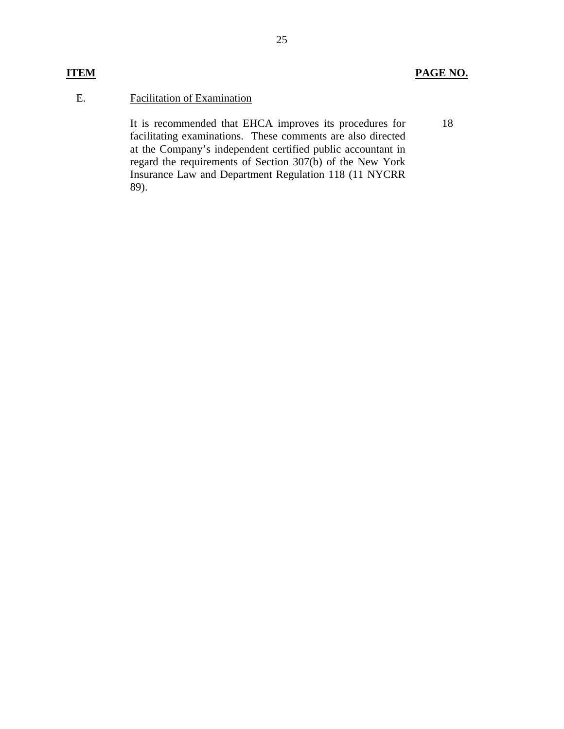25

## **ITEM PAGE NO.**

#### E. Facilitation of Examination

It is recommended that EHCA improves its procedures for facilitating examinations. These comments are also directed at the Company's independent certified public accountant in regard the requirements of Section 307(b) of the New York Insurance Law and Department Regulation 118 (11 NYCRR 89).

#### 18